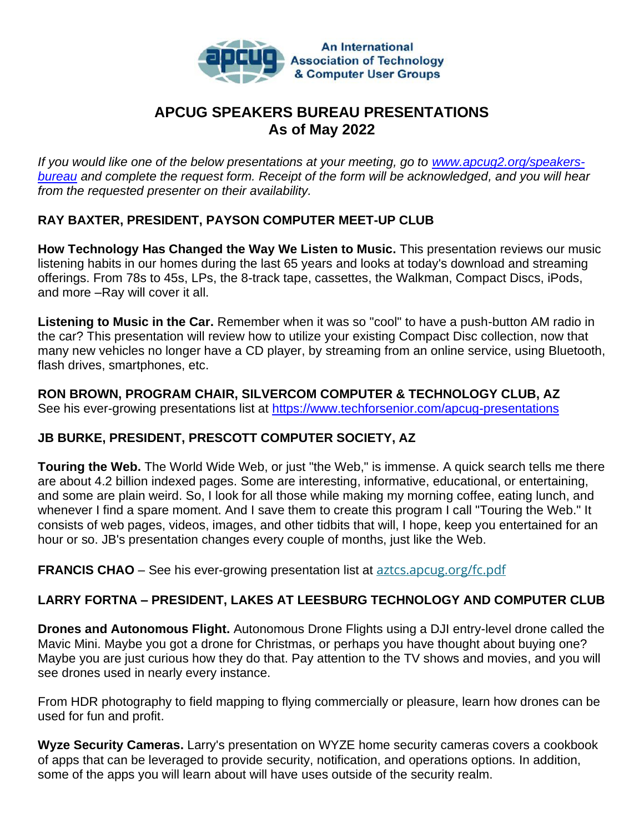

## **APCUG SPEAKERS BUREAU PRESENTATIONS As of May 2022**

If you would like one of the below presentations at your meeting, go to *www.apcug2.org/speakers[bureau](http://www.apcug2.org/speakers-bureau) and complete the request form. Receipt of the form will be acknowledged, and you will hear from the requested presenter on their availability.*

## **RAY BAXTER, PRESIDENT, PAYSON COMPUTER MEET-UP CLUB**

**How Technology Has Changed the Way We Listen to Music.** This presentation reviews our music listening habits in our homes during the last 65 years and looks at today's download and streaming offerings. From 78s to 45s, LPs, the 8-track tape, cassettes, the Walkman, Compact Discs, iPods, and more –Ray will cover it all.

**Listening to Music in the Car.** Remember when it was so "cool" to have a push-button AM radio in the car? This presentation will review how to utilize your existing Compact Disc collection, now that many new vehicles no longer have a CD player, by streaming from an online service, using Bluetooth, flash drives, smartphones, etc.

# **[RON BROWN,](https://apcug2.org/ron-brown/) PROGRAM CHAIR, SILVERCOM COMPUTER & TECHNOLOGY CLUB, AZ**

See his ever-growing presentations list at<https://www.techforsenior.com/apcug-presentations>

## **JB BURKE, PRESIDENT, PRESCOTT COMPUTER SOCIETY, AZ**

**Touring the Web.** The World Wide Web, or just "the Web," is immense. A quick search tells me there are about 4.2 billion indexed pages. Some are interesting, informative, educational, or entertaining, and some are plain weird. So, I look for all those while making my morning coffee, eating lunch, and whenever I find a spare moment. And I save them to create this program I call "Touring the Web." It consists of web pages, videos, images, and other tidbits that will, I hope, keep you entertained for an hour or so. JB's presentation changes every couple of months, just like the Web.

**[FRANCIS CHAO](file:///C:/Users/JJT/AppData/Roaming/Microsoft/Word/Francis%20Chao)** – See his ever-growing presentation list at [aztcs.apcug.org/fc.pdf](http://aztcs.apcug.org/fc.pdf)

## **LARRY FORTNA – PRESIDENT, LAKES AT LEESBURG TECHNOLOGY AND COMPUTER CLUB**

**Drones and Autonomous Flight.** Autonomous Drone Flights using a DJI entry-level drone called the Mavic Mini. Maybe you got a drone for Christmas, or perhaps you have thought about buying one? Maybe you are just curious how they do that. Pay attention to the TV shows and movies, and you will see drones used in nearly every instance.

From HDR photography to field mapping to flying commercially or pleasure, learn how drones can be used for fun and profit.

**Wyze Security Cameras.** Larry's presentation on WYZE home security cameras covers a cookbook of apps that can be leveraged to provide security, notification, and operations options. In addition, some of the apps you will learn about will have uses outside of the security realm.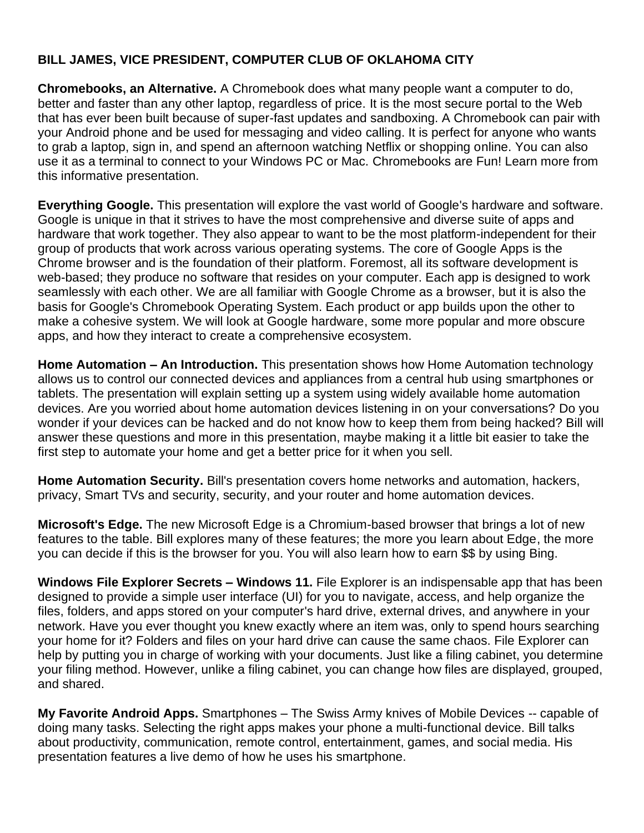## **[BILL JAMES,](https://apcug2.org/bill-james/) VICE PRESIDENT, COMPUTER CLUB OF OKLAHOMA CITY**

**Chromebooks, an Alternative.** A Chromebook does what many people want a computer to do, better and faster than any other laptop, regardless of price. It is the most secure portal to the Web that has ever been built because of super-fast updates and sandboxing. A Chromebook can pair with your Android phone and be used for messaging and video calling. It is perfect for anyone who wants to grab a laptop, sign in, and spend an afternoon watching Netflix or shopping online. You can also use it as a terminal to connect to your Windows PC or Mac. Chromebooks are Fun! Learn more from this informative presentation.

**Everything Google.** This presentation will explore the vast world of Google's hardware and software. Google is unique in that it strives to have the most comprehensive and diverse suite of apps and hardware that work together. They also appear to want to be the most platform-independent for their group of products that work across various operating systems. The core of Google Apps is the Chrome browser and is the foundation of their platform. Foremost, all its software development is web-based; they produce no software that resides on your computer. Each app is designed to work seamlessly with each other. We are all familiar with Google Chrome as a browser, but it is also the basis for Google's Chromebook Operating System. Each product or app builds upon the other to make a cohesive system. We will look at Google hardware, some more popular and more obscure apps, and how they interact to create a comprehensive ecosystem.

**Home Automation – An Introduction.** This presentation shows how Home Automation technology allows us to control our connected devices and appliances from a central hub using smartphones or tablets. The presentation will explain setting up a system using widely available home automation devices. Are you worried about home automation devices listening in on your conversations? Do you wonder if your devices can be hacked and do not know how to keep them from being hacked? Bill will answer these questions and more in this presentation, maybe making it a little bit easier to take the first step to automate your home and get a better price for it when you sell.

**Home Automation Security.** Bill's presentation covers home networks and automation, hackers, privacy, Smart TVs and security, security, and your router and home automation devices.

**Microsoft's Edge.** The new Microsoft Edge is a Chromium-based browser that brings a lot of new features to the table. Bill explores many of these features; the more you learn about Edge, the more you can decide if this is the browser for you. You will also learn how to earn \$\$ by using Bing.

**Windows File Explorer Secrets – Windows 11.** File Explorer is an indispensable app that has been designed to provide a simple user interface (UI) for you to navigate, access, and help organize the files, folders, and apps stored on your computer's hard drive, external drives, and anywhere in your network. Have you ever thought you knew exactly where an item was, only to spend hours searching your home for it? Folders and files on your hard drive can cause the same chaos. File Explorer can help by putting you in charge of working with your documents. Just like a filing cabinet, you determine your filing method. However, unlike a filing cabinet, you can change how files are displayed, grouped, and shared.

**My Favorite Android Apps.** Smartphones – The Swiss Army knives of Mobile Devices -- capable of doing many tasks. Selecting the right apps makes your phone a multi-functional device. Bill talks about productivity, communication, remote control, entertainment, games, and social media. His presentation features a live demo of how he uses his smartphone.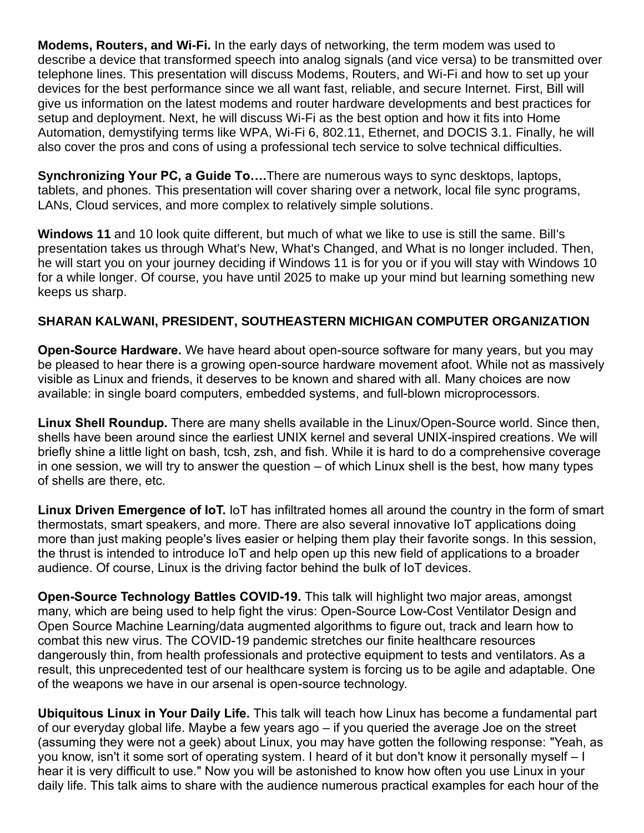**Modems, Routers, and Wi-Fi.** In the early days of networking, the term modem was used to describe a device that transformed speech into analog signals (and vice versa) to be transmitted over telephone lines. This presentation will discuss Modems, Routers, and Wi-Fi and how to set up your devices for the best performance since we all want fast, reliable, and secure Internet. First, Bill will give us information on the latest modems and router hardware developments and best practices for setup and deployment. Next, he will discuss Wi-Fi as the best option and how it fits into Home Automation, demystifying terms like WPA, Wi-Fi 6, 802.11, Ethernet, and DOCIS 3.1. Finally, he will also cover the pros and cons of using a professional tech service to solve technical difficulties.

**Synchronizing Your PC, a Guide To….**There are numerous ways to sync desktops, laptops, tablets, and phones. This presentation will cover sharing over a network, local file sync programs, LANs, Cloud services, and more complex to relatively simple solutions.

**Windows 11** and 10 look quite different, but much of what we like to use is still the same. Bill's presentation takes us through What's New, What's Changed, and What is no longer included. Then, he will start you on your journey deciding if Windows 11 is for you or if you will stay with Windows 10 for a while longer. Of course, you have until 2025 to make up your mind but learning something new keeps us sharp.

## **SHARAN KALWANI, PRESIDENT, SOUTHEASTERN MICHIGAN COMPUTER ORGANIZATION**

**Open-Source Hardware.** We have heard about open-source software for many years, but you may be pleased to hear there is a growing open-source hardware movement afoot. While not as massively visible as Linux and friends, it deserves to be known and shared with all. Many choices are now available: in single board computers, embedded systems, and full-blown microprocessors.

**Linux Shell Roundup.** There are many shells available in the Linux/Open-Source world. Since then, shells have been around since the earliest UNIX kernel and several UNIX-inspired creations. We will briefly shine a little light on bash, tcsh, zsh, and fish. While it is hard to do a comprehensive coverage in one session, we will try to answer the question – of which Linux shell is the best, how many types of shells are there, etc.

**Linux Driven Emergence of IoT.** IoT has infiltrated homes all around the country in the form of smart thermostats, smart speakers, and more. There are also several innovative IoT applications doing more than just making people's lives easier or helping them play their favorite songs. In this session, the thrust is intended to introduce IoT and help open up this new field of applications to a broader audience. Of course, Linux is the driving factor behind the bulk of IoT devices.

**Open-Source Technology Battles COVID-19.** This talk will highlight two major areas, amongst many, which are being used to help fight the virus: Open-Source Low-Cost Ventilator Design and Open Source Machine Learning/data augmented algorithms to figure out, track and learn how to combat this new virus. The COVID-19 pandemic stretches our finite healthcare resources dangerously thin, from health professionals and protective equipment to tests and ventilators. As a result, this unprecedented test of our healthcare system is forcing us to be agile and adaptable. One of the weapons we have in our arsenal is open-source technology.

**Ubiquitous Linux in Your Daily Life.** This talk will teach how Linux has become a fundamental part of our everyday global life. Maybe a few years ago – if you queried the average Joe on the street (assuming they were not a geek) about Linux, you may have gotten the following response: "Yeah, as you know, isn't it some sort of operating system. I heard of it but don't know it personally myself – I hear it is very difficult to use." Now you will be astonished to know how often you use Linux in your daily life. This talk aims to share with the audience numerous practical examples for each hour of the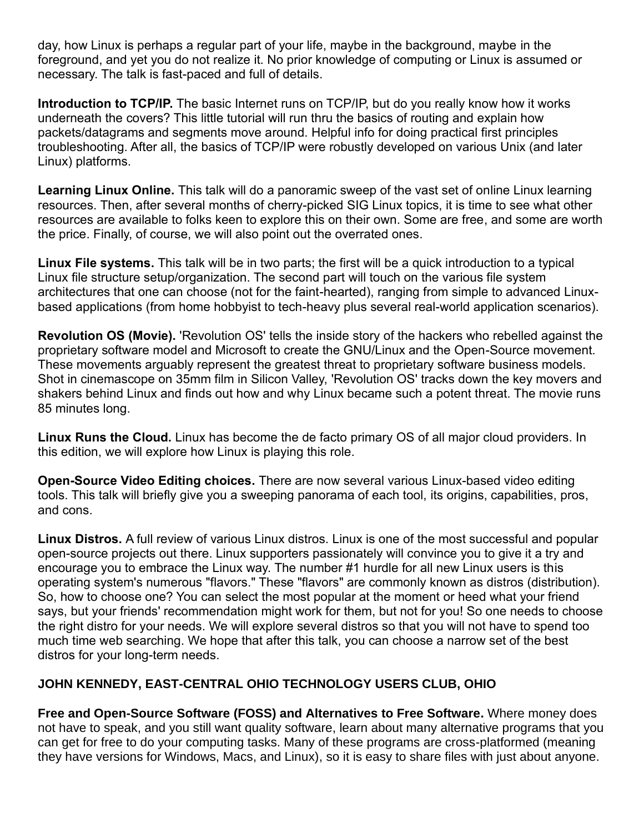day, how Linux is perhaps a regular part of your life, maybe in the background, maybe in the foreground, and yet you do not realize it. No prior knowledge of computing or Linux is assumed or necessary. The talk is fast-paced and full of details.

**Introduction to TCP/IP.** The basic Internet runs on TCP/IP, but do you really know how it works underneath the covers? This little tutorial will run thru the basics of routing and explain how packets/datagrams and segments move around. Helpful info for doing practical first principles troubleshooting. After all, the basics of TCP/IP were robustly developed on various Unix (and later Linux) platforms.

**Learning Linux Online.** This talk will do a panoramic sweep of the vast set of online Linux learning resources. Then, after several months of cherry-picked SIG Linux topics, it is time to see what other resources are available to folks keen to explore this on their own. Some are free, and some are worth the price. Finally, of course, we will also point out the overrated ones.

**Linux File systems.** This talk will be in two parts; the first will be a quick introduction to a typical Linux file structure setup/organization. The second part will touch on the various file system architectures that one can choose (not for the faint-hearted), ranging from simple to advanced Linuxbased applications (from home hobbyist to tech-heavy plus several real-world application scenarios).

**Revolution OS (Movie).** 'Revolution OS' tells the inside story of the hackers who rebelled against the proprietary software model and Microsoft to create the GNU/Linux and the Open-Source movement. These movements arguably represent the greatest threat to proprietary software business models. Shot in cinemascope on 35mm film in Silicon Valley, 'Revolution OS' tracks down the key movers and shakers behind Linux and finds out how and why Linux became such a potent threat. The movie runs 85 minutes long.

**Linux Runs the Cloud.** Linux has become the de facto primary OS of all major cloud providers. In this edition, we will explore how Linux is playing this role.

**Open-Source Video Editing choices.** There are now several various Linux-based video editing tools. This talk will briefly give you a sweeping panorama of each tool, its origins, capabilities, pros, and cons.

**Linux Distros.** A full review of various Linux distros. Linux is one of the most successful and popular open-source projects out there. Linux supporters passionately will convince you to give it a try and encourage you to embrace the Linux way. The number #1 hurdle for all new Linux users is this operating system's numerous "flavors." These "flavors" are commonly known as distros (distribution). So, how to choose one? You can select the most popular at the moment or heed what your friend says, but your friends' recommendation might work for them, but not for you! So one needs to choose the right distro for your needs. We will explore several distros so that you will not have to spend too much time web searching. We hope that after this talk, you can choose a narrow set of the best distros for your long-term needs.

## **[JOHN KENNEDY,](https://apcug2.org/john-kennedy/) EAST-CENTRAL OHIO TECHNOLOGY USERS CLUB, OHIO**

**Free and Open-Source Software (FOSS) and Alternatives to Free Software.** Where money does not have to speak, and you still want quality software, learn about many alternative programs that you can get for free to do your computing tasks. Many of these programs are cross-platformed (meaning they have versions for Windows, Macs, and Linux), so it is easy to share files with just about anyone.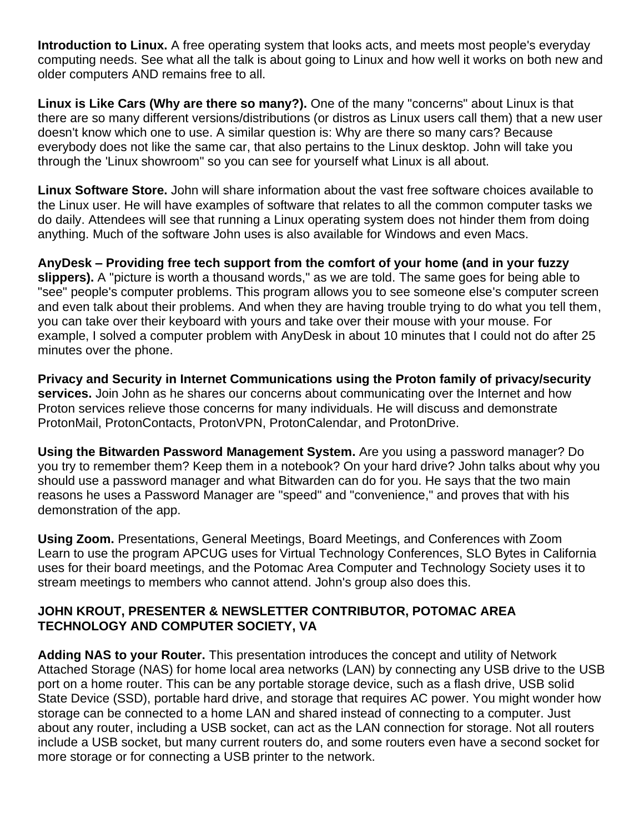**Introduction to Linux.** A free operating system that looks acts, and meets most people's everyday computing needs. See what all the talk is about going to Linux and how well it works on both new and older computers AND remains free to all.

**Linux is Like Cars (Why are there so many?).** One of the many "concerns" about Linux is that there are so many different versions/distributions (or distros as Linux users call them) that a new user doesn't know which one to use. A similar question is: Why are there so many cars? Because everybody does not like the same car, that also pertains to the Linux desktop. John will take you through the 'Linux showroom" so you can see for yourself what Linux is all about.

**Linux Software Store.** John will share information about the vast free software choices available to the Linux user. He will have examples of software that relates to all the common computer tasks we do daily. Attendees will see that running a Linux operating system does not hinder them from doing anything. Much of the software John uses is also available for Windows and even Macs.

**AnyDesk – Providing free tech support from the comfort of your home (and in your fuzzy slippers).** A "picture is worth a thousand words," as we are told. The same goes for being able to "see" people's computer problems. This program allows you to see someone else's computer screen and even talk about their problems. And when they are having trouble trying to do what you tell them, you can take over their keyboard with yours and take over their mouse with your mouse. For example, I solved a computer problem with AnyDesk in about 10 minutes that I could not do after 25 minutes over the phone.

**Privacy and Security in Internet Communications using the Proton family of privacy/security services.** Join John as he shares our concerns about communicating over the Internet and how Proton services relieve those concerns for many individuals. He will discuss and demonstrate ProtonMail, ProtonContacts, ProtonVPN, ProtonCalendar, and ProtonDrive.

**Using the Bitwarden Password Management System.** Are you using a password manager? Do you try to remember them? Keep them in a notebook? On your hard drive? John talks about why you should use a password manager and what Bitwarden can do for you. He says that the two main reasons he uses a Password Manager are "speed" and "convenience," and proves that with his demonstration of the app.

**Using Zoom.** Presentations, General Meetings, Board Meetings, and Conferences with Zoom Learn to use the program APCUG uses for Virtual Technology Conferences, SLO Bytes in California uses for their board meetings, and the Potomac Area Computer and Technology Society uses it to stream meetings to members who cannot attend. John's group also does this.

### **JOHN KROUT, PRESENTER & NEWSLETTER CONTRIBUTOR, POTOMAC AREA TECHNOLOGY AND COMPUTER SOCIETY, VA**

**Adding NAS to your Router.** This presentation introduces the concept and utility of Network Attached Storage (NAS) for home local area networks (LAN) by connecting any USB drive to the USB port on a home router. This can be any portable storage device, such as a flash drive, USB solid State Device (SSD), portable hard drive, and storage that requires AC power. You might wonder how storage can be connected to a home LAN and shared instead of connecting to a computer. Just about any router, including a USB socket, can act as the LAN connection for storage. Not all routers include a USB socket, but many current routers do, and some routers even have a second socket for more storage or for connecting a USB printer to the network.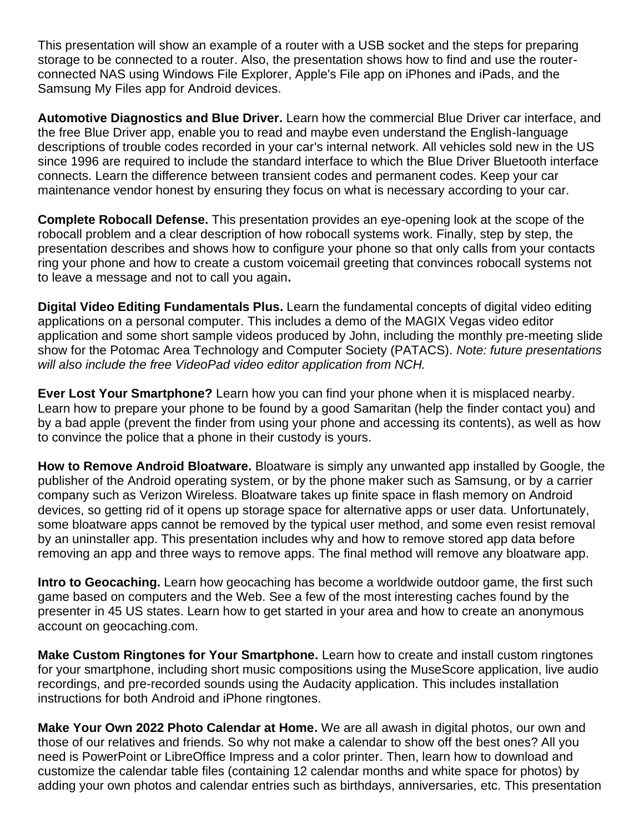This presentation will show an example of a router with a USB socket and the steps for preparing storage to be connected to a router. Also, the presentation shows how to find and use the routerconnected NAS using Windows File Explorer, Apple's File app on iPhones and iPads, and the Samsung My Files app for Android devices.

**Automotive Diagnostics and Blue Driver.** Learn how the commercial Blue Driver car interface, and the free Blue Driver app, enable you to read and maybe even understand the English-language descriptions of trouble codes recorded in your car's internal network. All vehicles sold new in the US since 1996 are required to include the standard interface to which the Blue Driver Bluetooth interface connects. Learn the difference between transient codes and permanent codes. Keep your car maintenance vendor honest by ensuring they focus on what is necessary according to your car.

**Complete Robocall Defense.** This presentation provides an eye-opening look at the scope of the robocall problem and a clear description of how robocall systems work. Finally, step by step, the presentation describes and shows how to configure your phone so that only calls from your contacts ring your phone and how to create a custom voicemail greeting that convinces robocall systems not to leave a message and not to call you again**.**

**Digital Video Editing Fundamentals Plus.** Learn the fundamental concepts of digital video editing applications on a personal computer. This includes a demo of the MAGIX Vegas video editor application and some short sample videos produced by John, including the monthly pre-meeting slide show for the Potomac Area Technology and Computer Society (PATACS). *Note: future presentations will also include the free VideoPad video editor application from NCH.*

**Ever Lost Your Smartphone?** Learn how you can find your phone when it is misplaced nearby. Learn how to prepare your phone to be found by a good Samaritan (help the finder contact you) and by a bad apple (prevent the finder from using your phone and accessing its contents), as well as how to convince the police that a phone in their custody is yours.

**How to Remove Android Bloatware.** Bloatware is simply any unwanted app installed by Google, the publisher of the Android operating system, or by the phone maker such as Samsung, or by a carrier company such as Verizon Wireless. Bloatware takes up finite space in flash memory on Android devices, so getting rid of it opens up storage space for alternative apps or user data. Unfortunately, some bloatware apps cannot be removed by the typical user method, and some even resist removal by an uninstaller app. This presentation includes why and how to remove stored app data before removing an app and three ways to remove apps. The final method will remove any bloatware app.

**Intro to Geocaching.** Learn how geocaching has become a worldwide outdoor game, the first such game based on computers and the Web. See a few of the most interesting caches found by the presenter in 45 US states. Learn how to get started in your area and how to create an anonymous account on geocaching.com.

**Make Custom Ringtones for Your Smartphone.** Learn how to create and install custom ringtones for your smartphone, including short music compositions using the MuseScore application, live audio recordings, and pre-recorded sounds using the Audacity application. This includes installation instructions for both Android and iPhone ringtones.

**Make Your Own 2022 Photo Calendar at Home.** We are all awash in digital photos, our own and those of our relatives and friends. So why not make a calendar to show off the best ones? All you need is PowerPoint or LibreOffice Impress and a color printer. Then, learn how to download and customize the calendar table files (containing 12 calendar months and white space for photos) by adding your own photos and calendar entries such as birthdays, anniversaries, etc. This presentation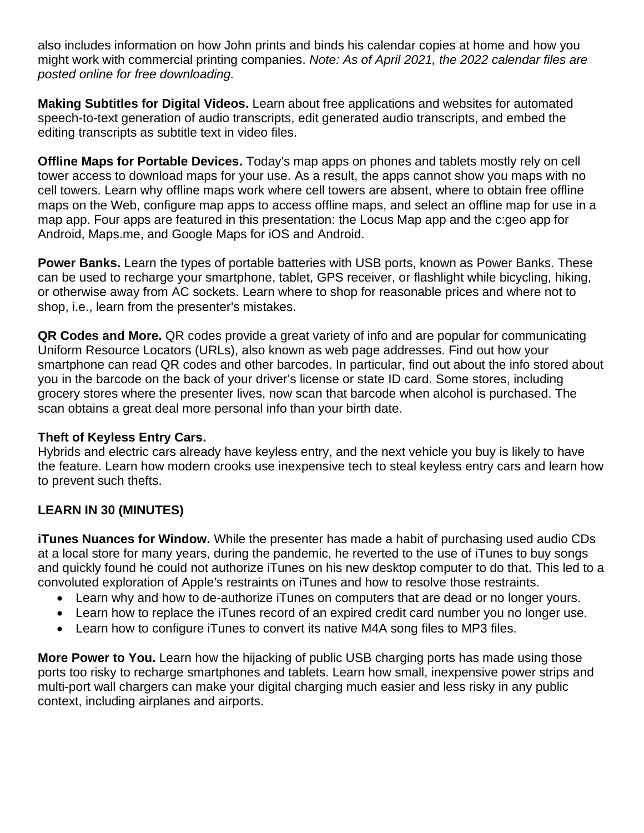also includes information on how John prints and binds his calendar copies at home and how you might work with commercial printing companies. *Note: As of April 2021, the 2022 calendar files are posted online for free downloading.*

**Making Subtitles for Digital Videos.** Learn about free applications and websites for automated speech-to-text generation of audio transcripts, edit generated audio transcripts, and embed the editing transcripts as subtitle text in video files.

**Offline Maps for Portable Devices.** Today's map apps on phones and tablets mostly rely on cell tower access to download maps for your use. As a result, the apps cannot show you maps with no cell towers. Learn why offline maps work where cell towers are absent, where to obtain free offline maps on the Web, configure map apps to access offline maps, and select an offline map for use in a map app. Four apps are featured in this presentation: the Locus Map app and the c:geo app for Android, Maps.me, and Google Maps for iOS and Android.

**Power Banks.** Learn the types of portable batteries with USB ports, known as Power Banks. These can be used to recharge your smartphone, tablet, GPS receiver, or flashlight while bicycling, hiking, or otherwise away from AC sockets. Learn where to shop for reasonable prices and where not to shop, i.e., learn from the presenter's mistakes.

**QR Codes and More.** QR codes provide a great variety of info and are popular for communicating Uniform Resource Locators (URLs), also known as web page addresses. Find out how your smartphone can read QR codes and other barcodes. In particular, find out about the info stored about you in the barcode on the back of your driver's license or state ID card. Some stores, including grocery stores where the presenter lives, now scan that barcode when alcohol is purchased. The scan obtains a great deal more personal info than your birth date.

## **Theft of Keyless Entry Cars.**

Hybrids and electric cars already have keyless entry, and the next vehicle you buy is likely to have the feature. Learn how modern crooks use inexpensive tech to steal keyless entry cars and learn how to prevent such thefts.

## **LEARN IN 30 (MINUTES)**

**iTunes Nuances for Window.** While the presenter has made a habit of purchasing used audio CDs at a local store for many years, during the pandemic, he reverted to the use of iTunes to buy songs and quickly found he could not authorize iTunes on his new desktop computer to do that. This led to a convoluted exploration of Apple's restraints on iTunes and how to resolve those restraints.

- Learn why and how to de-authorize iTunes on computers that are dead or no longer yours.
- Learn how to replace the iTunes record of an expired credit card number you no longer use.
- Learn how to configure iTunes to convert its native M4A song files to MP3 files.

**More Power to You.** Learn how the hijacking of public USB charging ports has made using those ports too risky to recharge smartphones and tablets. Learn how small, inexpensive power strips and multi-port wall chargers can make your digital charging much easier and less risky in any public context, including airplanes and airports.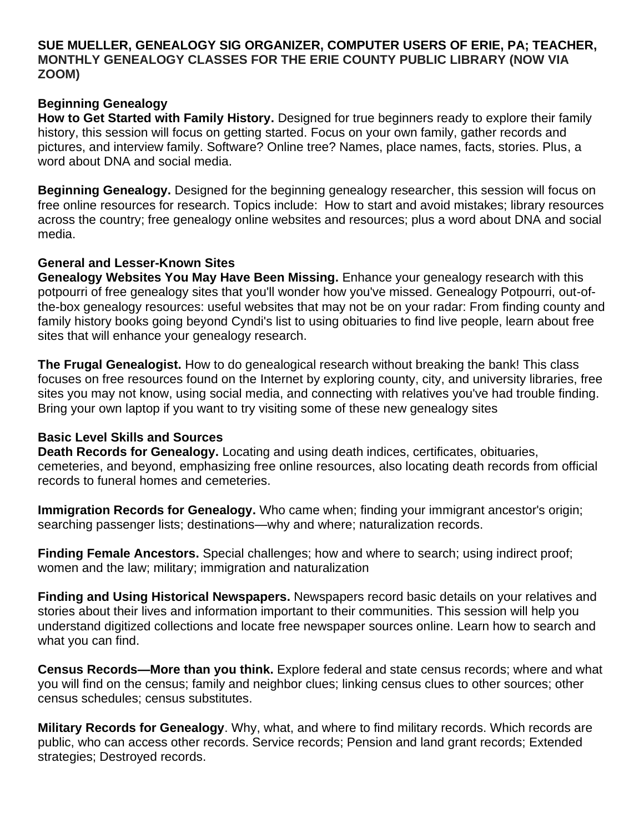#### **SUE MUELLER, GENEALOGY SIG ORGANIZER, COMPUTER USERS OF ERIE, PA; TEACHER, MONTHLY GENEALOGY CLASSES FOR THE ERIE COUNTY PUBLIC LIBRARY (NOW VIA ZOOM)**

#### **Beginning Genealogy**

**How to Get Started with Family History.** Designed for true beginners ready to explore their family history, this session will focus on getting started. Focus on your own family, gather records and pictures, and interview family. Software? Online tree? Names, place names, facts, stories. Plus, a word about DNA and social media.

**Beginning Genealogy.** Designed for the beginning genealogy researcher, this session will focus on free online resources for research. Topics include: How to start and avoid mistakes; library resources across the country; free genealogy online websites and resources; plus a word about DNA and social media.

#### **General and Lesser-Known Sites**

**Genealogy Websites You May Have Been Missing.** Enhance your genealogy research with this potpourri of free genealogy sites that you'll wonder how you've missed. Genealogy Potpourri, out-ofthe-box genealogy resources: useful websites that may not be on your radar: From finding county and family history books going beyond Cyndi's list to using obituaries to find live people, learn about free sites that will enhance your genealogy research.

**The Frugal Genealogist.** How to do genealogical research without breaking the bank! This class focuses on free resources found on the Internet by exploring county, city, and university libraries, free sites you may not know, using social media, and connecting with relatives you've had trouble finding. Bring your own laptop if you want to try visiting some of these new genealogy sites

#### **Basic Level Skills and Sources**

**Death Records for Genealogy.** Locating and using death indices, certificates, obituaries, cemeteries, and beyond, emphasizing free online resources, also locating death records from official records to funeral homes and cemeteries.

**Immigration Records for Genealogy.** Who came when; finding your immigrant ancestor's origin; searching passenger lists; destinations—why and where; naturalization records.

**Finding Female Ancestors.** Special challenges; how and where to search; using indirect proof; women and the law; military; immigration and naturalization

**Finding and Using Historical Newspapers.** Newspapers record basic details on your relatives and stories about their lives and information important to their communities. This session will help you understand digitized collections and locate free newspaper sources online. Learn how to search and what you can find.

**Census Records—More than you think.** Explore federal and state census records; where and what you will find on the census; family and neighbor clues; linking census clues to other sources; other census schedules; census substitutes.

**Military Records for Genealogy**. Why, what, and where to find military records. Which records are public, who can access other records. Service records; Pension and land grant records; Extended strategies; Destroyed records.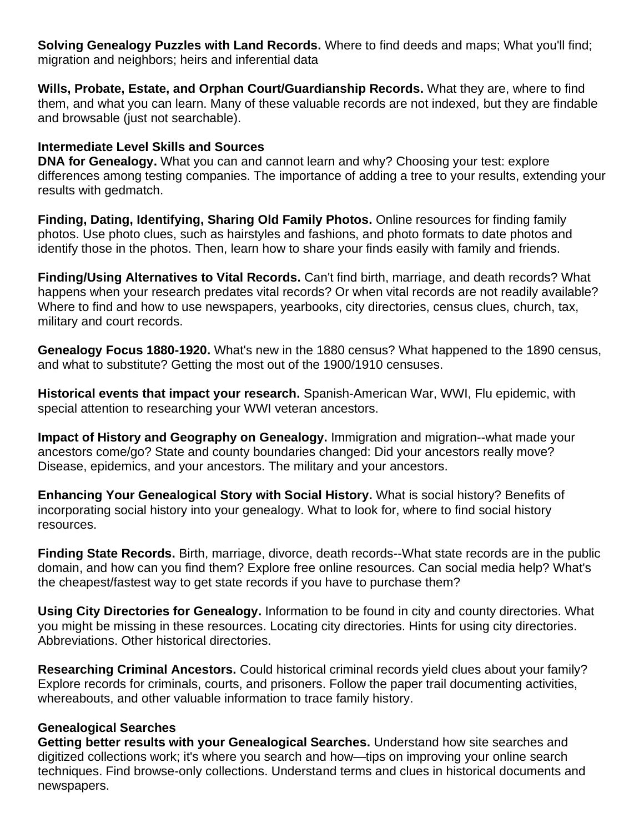**Solving Genealogy Puzzles with Land Records.** Where to find deeds and maps; What you'll find; migration and neighbors; heirs and inferential data

**Wills, Probate, Estate, and Orphan Court/Guardianship Records.** What they are, where to find them, and what you can learn. Many of these valuable records are not indexed, but they are findable and browsable (just not searchable).

### **Intermediate Level Skills and Sources**

**DNA for Genealogy.** What you can and cannot learn and why? Choosing your test: explore differences among testing companies. The importance of adding a tree to your results, extending your results with gedmatch.

**Finding, Dating, Identifying, Sharing Old Family Photos.** Online resources for finding family photos. Use photo clues, such as hairstyles and fashions, and photo formats to date photos and identify those in the photos. Then, learn how to share your finds easily with family and friends.

**Finding/Using Alternatives to Vital Records.** Can't find birth, marriage, and death records? What happens when your research predates vital records? Or when vital records are not readily available? Where to find and how to use newspapers, yearbooks, city directories, census clues, church, tax, military and court records.

**Genealogy Focus 1880-1920.** What's new in the 1880 census? What happened to the 1890 census, and what to substitute? Getting the most out of the 1900/1910 censuses.

**Historical events that impact your research.** Spanish-American War, WWI, Flu epidemic, with special attention to researching your WWI veteran ancestors.

**Impact of History and Geography on Genealogy.** Immigration and migration--what made your ancestors come/go? State and county boundaries changed: Did your ancestors really move? Disease, epidemics, and your ancestors. The military and your ancestors.

**Enhancing Your Genealogical Story with Social History.** What is social history? Benefits of incorporating social history into your genealogy. What to look for, where to find social history resources.

**Finding State Records.** Birth, marriage, divorce, death records--What state records are in the public domain, and how can you find them? Explore free online resources. Can social media help? What's the cheapest/fastest way to get state records if you have to purchase them?

**Using City Directories for Genealogy.** Information to be found in city and county directories. What you might be missing in these resources. Locating city directories. Hints for using city directories. Abbreviations. Other historical directories.

**Researching Criminal Ancestors.** Could historical criminal records yield clues about your family? Explore records for criminals, courts, and prisoners. Follow the paper trail documenting activities, whereabouts, and other valuable information to trace family history.

#### **Genealogical Searches**

**Getting better results with your Genealogical Searches.** Understand how site searches and digitized collections work; it's where you search and how—tips on improving your online search techniques. Find browse-only collections. Understand terms and clues in historical documents and newspapers.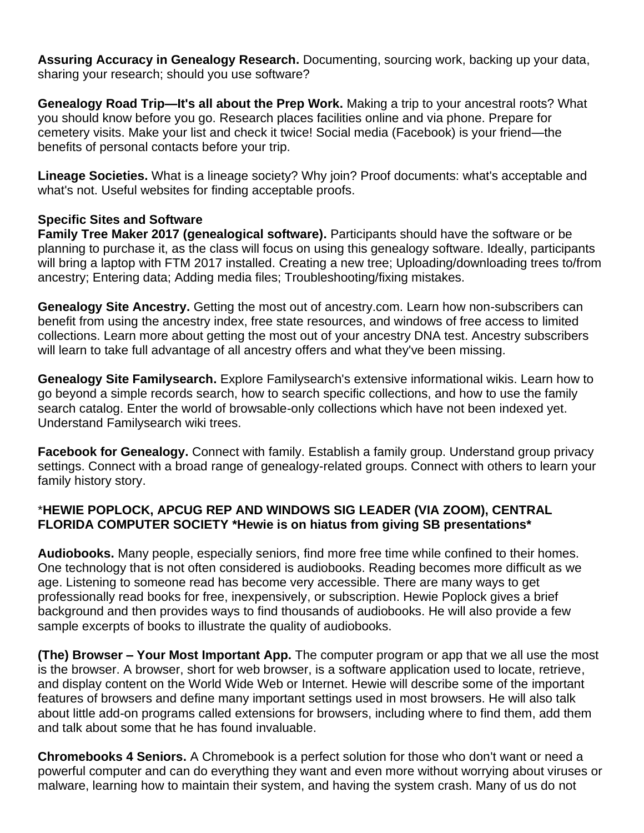**Assuring Accuracy in Genealogy Research.** Documenting, sourcing work, backing up your data, sharing your research; should you use software?

**Genealogy Road Trip—It's all about the Prep Work.** Making a trip to your ancestral roots? What you should know before you go. Research places facilities online and via phone. Prepare for cemetery visits. Make your list and check it twice! Social media (Facebook) is your friend—the benefits of personal contacts before your trip.

**Lineage Societies.** What is a lineage society? Why join? Proof documents: what's acceptable and what's not. Useful websites for finding acceptable proofs.

### **Specific Sites and Software**

**Family Tree Maker 2017 (genealogical software).** Participants should have the software or be planning to purchase it, as the class will focus on using this genealogy software. Ideally, participants will bring a laptop with FTM 2017 installed. Creating a new tree; Uploading/downloading trees to/from ancestry; Entering data; Adding media files; Troubleshooting/fixing mistakes.

**Genealogy Site Ancestry.** Getting the most out of ancestry.com. Learn how non-subscribers can benefit from using the ancestry index, free state resources, and windows of free access to limited collections. Learn more about getting the most out of your ancestry DNA test. Ancestry subscribers will learn to take full advantage of all ancestry offers and what they've been missing.

**Genealogy Site Familysearch.** Explore Familysearch's extensive informational wikis. Learn how to go beyond a simple records search, how to search specific collections, and how to use the family search catalog. Enter the world of browsable-only collections which have not been indexed yet. Understand Familysearch wiki trees.

**Facebook for Genealogy.** Connect with family. Establish a family group. Understand group privacy settings. Connect with a broad range of genealogy-related groups. Connect with others to learn your family history story.

## \***[HEWIE POPLOCK,](https://apcug2.org/hewie-poplock/) APCUG REP AND WINDOWS SIG LEADER (VIA ZOOM), CENTRAL FLORIDA COMPUTER SOCIETY \*Hewie is on hiatus from giving SB presentations\***

**Audiobooks.** Many people, especially seniors, find more free time while confined to their homes. One technology that is not often considered is audiobooks. Reading becomes more difficult as we age. Listening to someone read has become very accessible. There are many ways to get professionally read books for free, inexpensively, or subscription. Hewie Poplock gives a brief background and then provides ways to find thousands of audiobooks. He will also provide a few sample excerpts of books to illustrate the quality of audiobooks.

**(The) Browser – Your Most Important App.** The computer program or app that we all use the most is the browser. A browser, short for web browser, is a software application used to locate, retrieve, and display content on the World Wide Web or Internet. Hewie will describe some of the important features of browsers and define many important settings used in most browsers. He will also talk about little add-on programs called extensions for browsers, including where to find them, add them and talk about some that he has found invaluable.

**Chromebooks 4 Seniors.** A Chromebook is a perfect solution for those who don't want or need a powerful computer and can do everything they want and even more without worrying about viruses or malware, learning how to maintain their system, and having the system crash. Many of us do not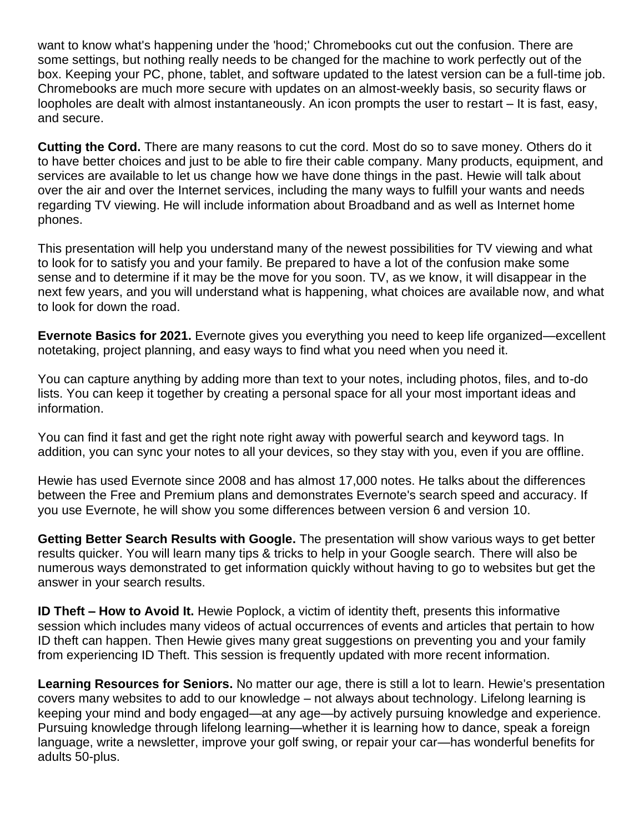want to know what's happening under the 'hood;' Chromebooks cut out the confusion. There are some settings, but nothing really needs to be changed for the machine to work perfectly out of the box. Keeping your PC, phone, tablet, and software updated to the latest version can be a full-time job. Chromebooks are much more secure with updates on an almost-weekly basis, so security flaws or loopholes are dealt with almost instantaneously. An icon prompts the user to restart – It is fast, easy, and secure.

**Cutting the Cord.** There are many reasons to cut the cord. Most do so to save money. Others do it to have better choices and just to be able to fire their cable company. Many products, equipment, and services are available to let us change how we have done things in the past. Hewie will talk about over the air and over the Internet services, including the many ways to fulfill your wants and needs regarding TV viewing. He will include information about Broadband and as well as Internet home phones.

This presentation will help you understand many of the newest possibilities for TV viewing and what to look for to satisfy you and your family. Be prepared to have a lot of the confusion make some sense and to determine if it may be the move for you soon. TV, as we know, it will disappear in the next few years, and you will understand what is happening, what choices are available now, and what to look for down the road.

**Evernote Basics for 2021.** Evernote gives you everything you need to keep life organized—excellent notetaking, project planning, and easy ways to find what you need when you need it.

You can capture anything by adding more than text to your notes, including photos, files, and to-do lists. You can keep it together by creating a personal space for all your most important ideas and information.

You can find it fast and get the right note right away with powerful search and keyword tags. In addition, you can sync your notes to all your devices, so they stay with you, even if you are offline.

Hewie has used Evernote since 2008 and has almost 17,000 notes. He talks about the differences between the Free and Premium plans and demonstrates Evernote's search speed and accuracy. If you use Evernote, he will show you some differences between version 6 and version 10.

**Getting Better Search Results with Google.** The presentation will show various ways to get better results quicker. You will learn many tips & tricks to help in your Google search. There will also be numerous ways demonstrated to get information quickly without having to go to websites but get the answer in your search results.

**ID Theft – How to Avoid It.** Hewie Poplock, a victim of identity theft, presents this informative session which includes many videos of actual occurrences of events and articles that pertain to how ID theft can happen. Then Hewie gives many great suggestions on preventing you and your family from experiencing ID Theft. This session is frequently updated with more recent information.

**Learning Resources for Seniors.** No matter our age, there is still a lot to learn. Hewie's presentation covers many websites to add to our knowledge – not always about technology. Lifelong learning is keeping your mind and body engaged—at any age—by actively pursuing knowledge and experience. Pursuing knowledge through lifelong learning—whether it is learning how to dance, speak a foreign language, write a newsletter, improve your golf swing, or repair your car—has wonderful benefits for adults 50-plus.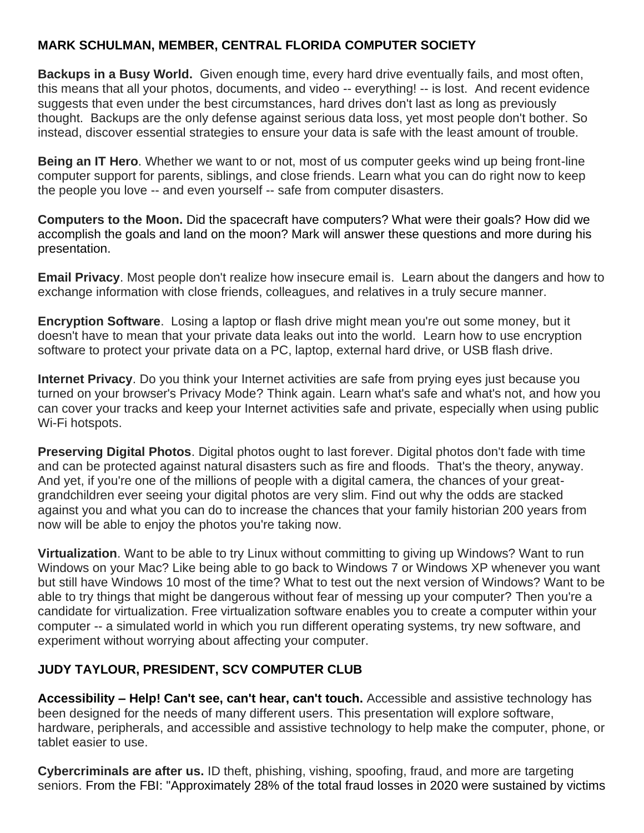## **MARK SCHULMAN, MEMBER, CENTRAL FLORIDA COMPUTER SOCIETY**

**Backups in a Busy World.** Given enough time, every hard drive eventually fails, and most often, this means that all your photos, documents, and video -- everything! -- is lost. And recent evidence suggests that even under the best circumstances, hard drives don't last as long as previously thought. Backups are the only defense against serious data loss, yet most people don't bother. So instead, discover essential strategies to ensure your data is safe with the least amount of trouble.

**Being an IT Hero**. Whether we want to or not, most of us computer geeks wind up being front-line computer support for parents, siblings, and close friends. Learn what you can do right now to keep the people you love -- and even yourself -- safe from computer disasters.

**Computers to the Moon.** Did the spacecraft have computers? What were their goals? How did we accomplish the goals and land on the moon? Mark will answer these questions and more during his presentation.

**Email Privacy**. Most people don't realize how insecure email is. Learn about the dangers and how to exchange information with close friends, colleagues, and relatives in a truly secure manner.

**Encryption Software**. Losing a laptop or flash drive might mean you're out some money, but it doesn't have to mean that your private data leaks out into the world. Learn how to use encryption software to protect your private data on a PC, laptop, external hard drive, or USB flash drive.

**Internet Privacy**. Do you think your Internet activities are safe from prying eyes just because you turned on your browser's Privacy Mode? Think again. Learn what's safe and what's not, and how you can cover your tracks and keep your Internet activities safe and private, especially when using public Wi-Fi hotspots.

**Preserving Digital Photos**. Digital photos ought to last forever. Digital photos don't fade with time and can be protected against natural disasters such as fire and floods. That's the theory, anyway. And yet, if you're one of the millions of people with a digital camera, the chances of your greatgrandchildren ever seeing your digital photos are very slim. Find out why the odds are stacked against you and what you can do to increase the chances that your family historian 200 years from now will be able to enjoy the photos you're taking now.

**Virtualization**. Want to be able to try Linux without committing to giving up Windows? Want to run Windows on your Mac? Like being able to go back to Windows 7 or Windows XP whenever you want but still have Windows 10 most of the time? What to test out the next version of Windows? Want to be able to try things that might be dangerous without fear of messing up your computer? Then you're a candidate for virtualization. Free virtualization software enables you to create a computer within your computer -- a simulated world in which you run different operating systems, try new software, and experiment without worrying about affecting your computer.

## **[JUDY TAYLOUR,](https://apcug2.org/judy-taylour/) PRESIDENT, SCV COMPUTER CLUB**

**Accessibility – Help! Can't see, can't hear, can't touch.** Accessible and assistive technology has been designed for the needs of many different users. This presentation will explore software, hardware, peripherals, and accessible and assistive technology to help make the computer, phone, or tablet easier to use.

**Cybercriminals are after us.** ID theft, phishing, vishing, spoofing, fraud, and more are targeting seniors. From the FBI: "Approximately 28% of the total fraud losses in 2020 were sustained by victims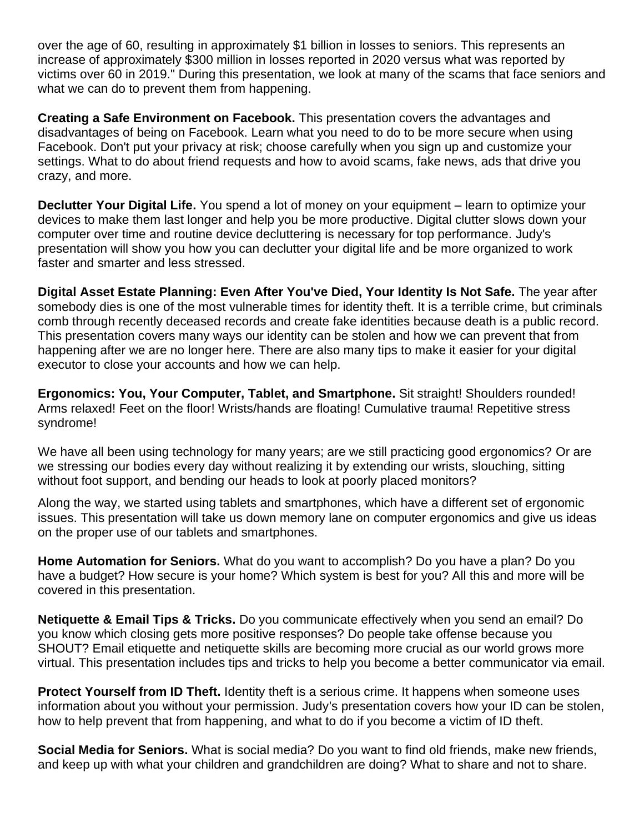over the age of 60, resulting in approximately \$1 billion in losses to seniors. This represents an increase of approximately \$300 million in losses reported in 2020 versus what was reported by victims over 60 in 2019." During this presentation, we look at many of the scams that face seniors and what we can do to prevent them from happening.

**Creating a Safe Environment on Facebook.** This presentation covers the advantages and disadvantages of being on Facebook. Learn what you need to do to be more secure when using Facebook. Don't put your privacy at risk; choose carefully when you sign up and customize your settings. What to do about friend requests and how to avoid scams, fake news, ads that drive you crazy, and more.

**Declutter Your Digital Life.** You spend a lot of money on your equipment – learn to optimize your devices to make them last longer and help you be more productive. Digital clutter slows down your computer over time and routine device decluttering is necessary for top performance. Judy's presentation will show you how you can declutter your digital life and be more organized to work faster and smarter and less stressed.

**Digital Asset Estate Planning: Even After You've Died, Your Identity Is Not Safe.** The year after somebody dies is one of the most vulnerable times for identity theft. It is a terrible crime, but criminals comb through recently deceased records and create fake identities because death is a public record. This presentation covers many ways our identity can be stolen and how we can prevent that from happening after we are no longer here. There are also many tips to make it easier for your digital executor to close your accounts and how we can help.

**Ergonomics: You, Your Computer, Tablet, and Smartphone.** Sit straight! Shoulders rounded! Arms relaxed! Feet on the floor! Wrists/hands are floating! Cumulative trauma! Repetitive stress syndrome!

We have all been using technology for many years; are we still practicing good ergonomics? Or are we stressing our bodies every day without realizing it by extending our wrists, slouching, sitting without foot support, and bending our heads to look at poorly placed monitors?

Along the way, we started using tablets and smartphones, which have a different set of ergonomic issues. This presentation will take us down memory lane on computer ergonomics and give us ideas on the proper use of our tablets and smartphones.

**Home Automation for Seniors.** What do you want to accomplish? Do you have a plan? Do you have a budget? How secure is your home? Which system is best for you? All this and more will be covered in this presentation.

**Netiquette & Email Tips & Tricks.** Do you communicate effectively when you send an email? Do you know which closing gets more positive responses? Do people take offense because you SHOUT? Email etiquette and netiquette skills are becoming more crucial as our world grows more virtual. This presentation includes tips and tricks to help you become a better communicator via email.

**Protect Yourself from ID Theft.** Identity theft is a serious crime. It happens when someone uses information about you without your permission. Judy's presentation covers how your ID can be stolen, how to help prevent that from happening, and what to do if you become a victim of ID theft.

**Social Media for Seniors.** What is social media? Do you want to find old friends, make new friends, and keep up with what your children and grandchildren are doing? What to share and not to share.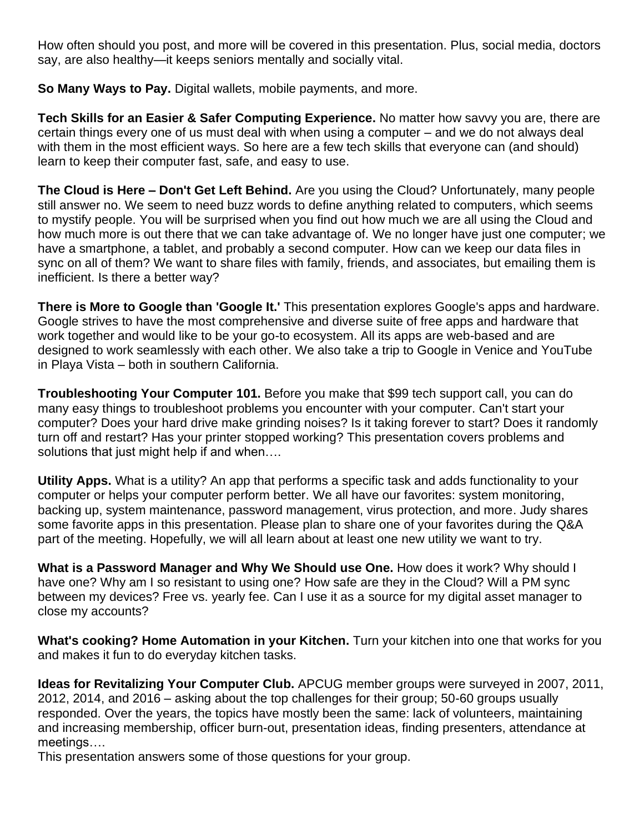How often should you post, and more will be covered in this presentation. Plus, social media, doctors say, are also healthy—it keeps seniors mentally and socially vital.

**So Many Ways to Pay.** Digital wallets, mobile payments, and more.

**Tech Skills for an Easier & Safer Computing Experience.** No matter how savvy you are, there are certain things every one of us must deal with when using a computer – and we do not always deal with them in the most efficient ways. So here are a few tech skills that everyone can (and should) learn to keep their computer fast, safe, and easy to use.

**The Cloud is Here – Don't Get Left Behind.** Are you using the Cloud? Unfortunately, many people still answer no. We seem to need buzz words to define anything related to computers, which seems to mystify people. You will be surprised when you find out how much we are all using the Cloud and how much more is out there that we can take advantage of. We no longer have just one computer; we have a smartphone, a tablet, and probably a second computer. How can we keep our data files in sync on all of them? We want to share files with family, friends, and associates, but emailing them is inefficient. Is there a better way?

**There is More to Google than 'Google It.'** This presentation explores Google's apps and hardware. Google strives to have the most comprehensive and diverse suite of free apps and hardware that work together and would like to be your go-to ecosystem. All its apps are web-based and are designed to work seamlessly with each other. We also take a trip to Google in Venice and YouTube in Playa Vista – both in southern California.

**Troubleshooting Your Computer 101.** Before you make that \$99 tech support call, you can do many easy things to troubleshoot problems you encounter with your computer. Can't start your computer? Does your hard drive make grinding noises? Is it taking forever to start? Does it randomly turn off and restart? Has your printer stopped working? This presentation covers problems and solutions that just might help if and when….

**Utility Apps.** What is a utility? An app that performs a specific task and adds functionality to your computer or helps your computer perform better. We all have our favorites: system monitoring, backing up, system maintenance, password management, virus protection, and more. Judy shares some favorite apps in this presentation. Please plan to share one of your favorites during the Q&A part of the meeting. Hopefully, we will all learn about at least one new utility we want to try.

**What is a Password Manager and Why We Should use One.** How does it work? Why should I have one? Why am I so resistant to using one? How safe are they in the Cloud? Will a PM sync between my devices? Free vs. yearly fee. Can I use it as a source for my digital asset manager to close my accounts?

**What's cooking? Home Automation in your Kitchen.** Turn your kitchen into one that works for you and makes it fun to do everyday kitchen tasks.

**Ideas for Revitalizing Your Computer Club.** APCUG member groups were surveyed in 2007, 2011, 2012, 2014, and 2016 – asking about the top challenges for their group; 50-60 groups usually responded. Over the years, the topics have mostly been the same: lack of volunteers, maintaining and increasing membership, officer burn-out, presentation ideas, finding presenters, attendance at meetings….

This presentation answers some of those questions for your group.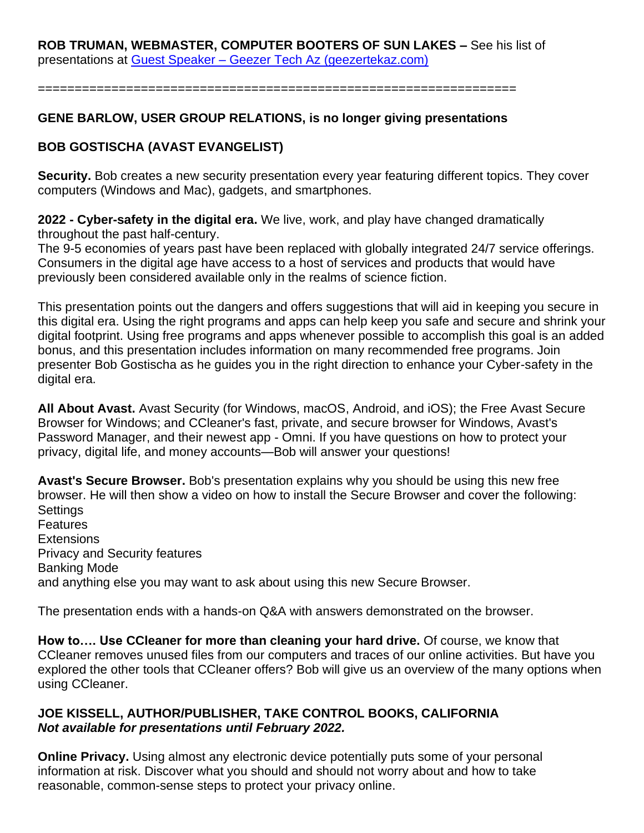### **ROB TRUMAN, WEBMASTER, COMPUTER BOOTERS OF SUN LAKES –** See his list of presentations at Guest Speaker – [Geezer Tech Az \(geezertekaz.com\)](https://geezertekaz.com/speaker/)

=================================================================

#### **[GENE BARLOW,](https://apcug2.org/gene-barlow/) USER GROUP RELATIONS, is no longer giving presentations**

## **[BOB GOSTISCHA](https://apcug2.org/bob-gosticha/) (AVAST EVANGELIST)**

**Security.** Bob creates a new security presentation every year featuring different topics. They cover computers (Windows and Mac), gadgets, and smartphones.

**2022 - Cyber-safety in the digital era.** We live, work, and play have changed dramatically throughout the past half-century.

The 9-5 economies of years past have been replaced with globally integrated 24/7 service offerings. Consumers in the digital age have access to a host of services and products that would have previously been considered available only in the realms of science fiction.

This presentation points out the dangers and offers suggestions that will aid in keeping you secure in this digital era. Using the right programs and apps can help keep you safe and secure and shrink your digital footprint. Using free programs and apps whenever possible to accomplish this goal is an added bonus, and this presentation includes information on many recommended free programs. Join presenter Bob Gostischa as he guides you in the right direction to enhance your Cyber-safety in the digital era.

**All About Avast.** Avast Security (for Windows, macOS, Android, and iOS); the Free Avast Secure Browser for Windows; and CCleaner's fast, private, and secure browser for Windows, Avast's Password Manager, and their newest app - Omni. If you have questions on how to protect your privacy, digital life, and money accounts—Bob will answer your questions!

**Avast's Secure Browser.** Bob's presentation explains why you should be using this new free browser. He will then show a video on how to install the Secure Browser and cover the following: **Settings** Features **Extensions** Privacy and Security features Banking Mode and anything else you may want to ask about using this new Secure Browser.

The presentation ends with a hands-on Q&A with answers demonstrated on the browser.

**How to…. Use CCleaner for more than cleaning your hard drive.** Of course, we know that CCleaner removes unused files from our computers and traces of our online activities. But have you explored the other tools that CCleaner offers? Bob will give us an overview of the many options when using CCleaner.

#### **JOE KISSELL, AUTHOR/PUBLISHER, TAKE CONTROL BOOKS, CALIFORNIA** *Not available for presentations until February 2022.*

**Online Privacy.** Using almost any electronic device potentially puts some of your personal information at risk. Discover what you should and should not worry about and how to take reasonable, common-sense steps to protect your privacy online.